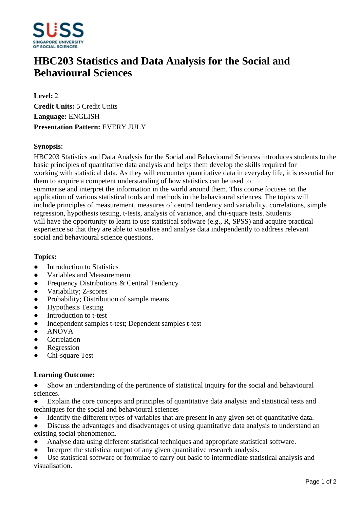

# **HBC203 Statistics and Data Analysis for the Social and Behavioural Sciences**

**Level:** 2 **Credit Units:** 5 Credit Units **Language:** ENGLISH **Presentation Pattern:** EVERY JULY

### **Synopsis:**

HBC203 Statistics and Data Analysis for the Social and Behavioural Sciences introduces students to the basic principles of quantitative data analysis and helps them develop the skills required for working with statistical data. As they will encounter quantitative data in everyday life, it is essential for them to acquire a competent understanding of how statistics can be used to summarise and interpret the information in the world around them. This course focuses on the application of various statistical tools and methods in the behavioural sciences. The topics will include principles of measurement, measures of central tendency and variability, correlations, simple regression, hypothesis testing, t-tests, analysis of variance, and chi-square tests. Students will have the opportunity to learn to use statistical software (e.g., R, SPSS) and acquire practical experience so that they are able to visualise and analyse data independently to address relevant social and behavioural science questions.

#### **Topics:**

- $\bullet$  Introduction to Statistics
- Variables and Measuremennt
- Frequency Distributions & Central Tendency
- Variability; Z-scores
- Probability; Distribution of sample means
- Hypothesis Testing
- Introduction to t-test
- Independent samples t-test; Dependent samples t-test
- ANOVA
- Correlation
- ƔRegression
- ƔChi-square Test

#### **Learning Outcome:**

- Show an understanding of the pertinence of statistical inquiry for the social and behavioural sciences.
- Explain the core concepts and principles of quantitative data analysis and statistical tests and techniques for the social and behavioural sciences
- Identify the different types of variables that are present in any given set of quantitative data.
- Discuss the advantages and disadvantages of using quantitative data analysis to understand an existing social phenomenon.
- Analyse data using different statistical techniques and appropriate statistical software.
- Interpret the statistical output of any given quantitative research analysis.
- Use statistical software or formulae to carry out basic to intermediate statistical analysis and visualisation.